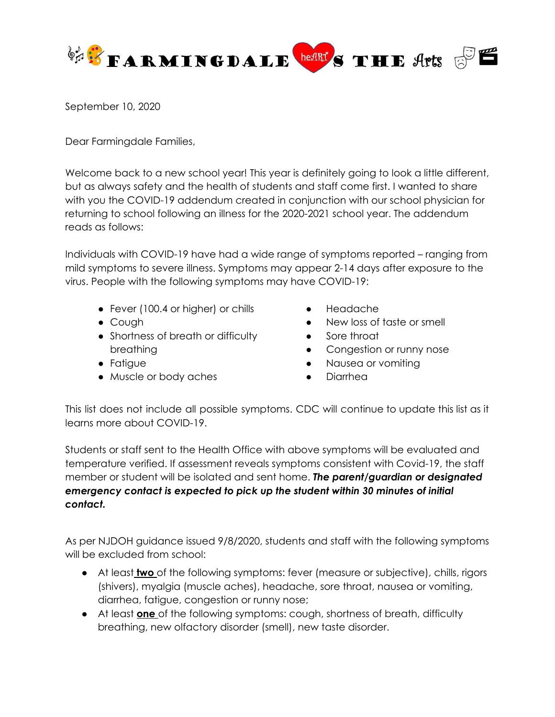

September 10, 2020

Dear Farmingdale Families,

Welcome back to a new school year! This year is definitely going to look a little different, but as always safety and the health of students and staff come first. I wanted to share with you the COVID-19 addendum created in conjunction with our school physician for returning to school following an illness for the 2020-2021 school year. The addendum reads as follows:

Individuals with COVID-19 have had a wide range of symptoms reported – ranging from mild symptoms to severe illness. Symptoms may appear 2-14 days after exposure to the virus. People with the following symptoms may have COVID-19:

- Fever (100.4 or higher) or chills
- Cough
- Shortness of breath or difficulty breathing
- Fatigue
- Muscle or body aches
- Headache
- New loss of taste or smell
- Sore throat
- Congestion or runny nose
- Nausea or vomiting
- Diarrhea

This list does not include all possible symptoms. CDC will continue to update this list as it learns more about COVID-19.

Students or staff sent to the Health Office with above symptoms will be evaluated and temperature verified. If assessment reveals symptoms consistent with Covid-19, the staff member or student will be isolated and sent home. *The parent/guardian or designated emergency contact is expected to pick up the student within 30 minutes of initial contact.*

As per NJDOH guidance issued 9/8/2020, students and staff with the following symptoms will be excluded from school:

- At least **two** of the following symptoms: fever (measure or subjective), chills, rigors (shivers), myalgia (muscle aches), headache, sore throat, nausea or vomiting, diarrhea, fatigue, congestion or runny nose;
- At least **one** of the following symptoms: cough, shortness of breath, difficulty breathing, new olfactory disorder (smell), new taste disorder.